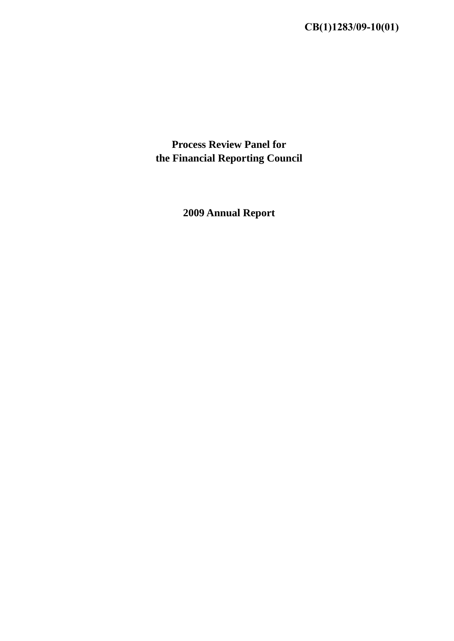**Process Review Panel for the Financial Reporting Council** 

**2009 Annual Report**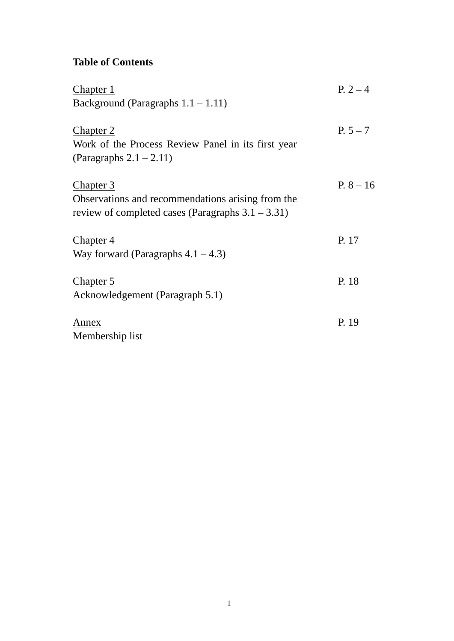# **Table of Contents**

| <b>Chapter 1</b>                                     | $P. 2 - 4$  |
|------------------------------------------------------|-------------|
| Background (Paragraphs $1.1 - 1.11$ )                |             |
|                                                      |             |
| Chapter 2                                            | $P. 5 - 7$  |
| Work of the Process Review Panel in its first year   |             |
| (Paragraphs $2.1 - 2.11$ )                           |             |
| <b>Chapter 3</b>                                     | $P. 8 - 16$ |
| Observations and recommendations arising from the    |             |
| review of completed cases (Paragraphs $3.1 - 3.31$ ) |             |
|                                                      |             |
| <u>Chapter 4</u>                                     | P. 17       |
| Way forward (Paragraphs $4.1 - 4.3$ )                |             |
| Chapter 5                                            | P. 18       |
| Acknowledgement (Paragraph 5.1)                      |             |
|                                                      |             |
| Annex                                                | P. 19       |
| Membership list                                      |             |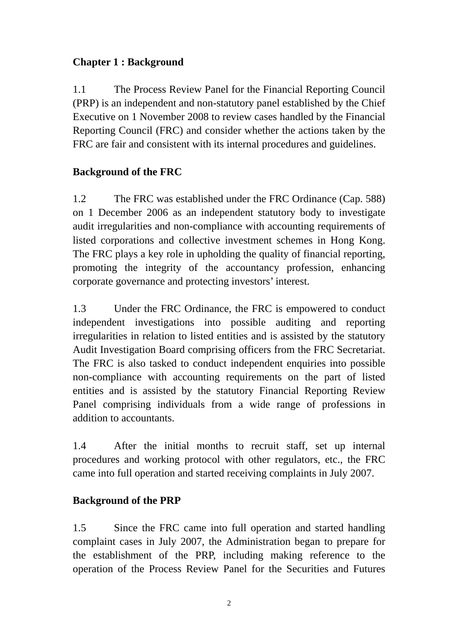## **Chapter 1 : Background**

1.1 The Process Review Panel for the Financial Reporting Council (PRP) is an independent and non-statutory panel established by the Chief Executive on 1 November 2008 to review cases handled by the Financial Reporting Council (FRC) and consider whether the actions taken by the FRC are fair and consistent with its internal procedures and guidelines.

# **Background of the FRC**

1.2 The FRC was established under the FRC Ordinance (Cap. 588) on 1 December 2006 as an independent statutory body to investigate audit irregularities and non-compliance with accounting requirements of listed corporations and collective investment schemes in Hong Kong. The FRC plays a key role in upholding the quality of financial reporting, promoting the integrity of the accountancy profession, enhancing corporate governance and protecting investors' interest.

1.3 Under the FRC Ordinance, the FRC is empowered to conduct independent investigations into possible auditing and reporting irregularities in relation to listed entities and is assisted by the statutory Audit Investigation Board comprising officers from the FRC Secretariat. The FRC is also tasked to conduct independent enquiries into possible non-compliance with accounting requirements on the part of listed entities and is assisted by the statutory Financial Reporting Review Panel comprising individuals from a wide range of professions in addition to accountants.

1.4 After the initial months to recruit staff, set up internal procedures and working protocol with other regulators, etc., the FRC came into full operation and started receiving complaints in July 2007.

## **Background of the PRP**

1.5 Since the FRC came into full operation and started handling complaint cases in July 2007, the Administration began to prepare for the establishment of the PRP, including making reference to the operation of the Process Review Panel for the Securities and Futures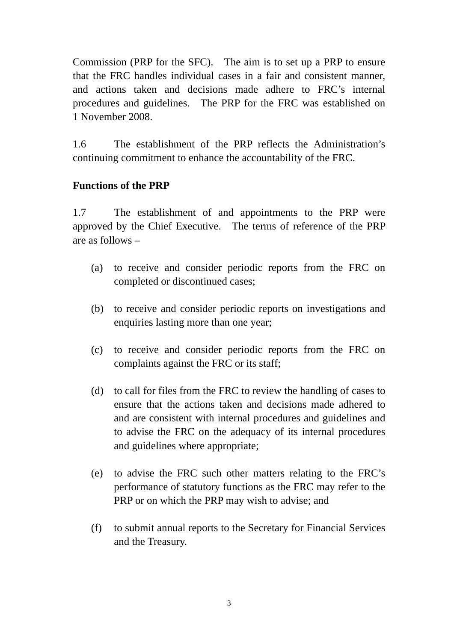Commission (PRP for the SFC). The aim is to set up a PRP to ensure that the FRC handles individual cases in a fair and consistent manner, and actions taken and decisions made adhere to FRC's internal procedures and guidelines. The PRP for the FRC was established on 1 November 2008.

1.6 The establishment of the PRP reflects the Administration's continuing commitment to enhance the accountability of the FRC.

#### **Functions of the PRP**

1.7 The establishment of and appointments to the PRP were approved by the Chief Executive. The terms of reference of the PRP are as follows –

- (a) to receive and consider periodic reports from the FRC on completed or discontinued cases;
- (b) to receive and consider periodic reports on investigations and enquiries lasting more than one year;
- (c) to receive and consider periodic reports from the FRC on complaints against the FRC or its staff;
- (d) to call for files from the FRC to review the handling of cases to ensure that the actions taken and decisions made adhered to and are consistent with internal procedures and guidelines and to advise the FRC on the adequacy of its internal procedures and guidelines where appropriate;
- (e) to advise the FRC such other matters relating to the FRC's performance of statutory functions as the FRC may refer to the PRP or on which the PRP may wish to advise; and
- (f) to submit annual reports to the Secretary for Financial Services and the Treasury.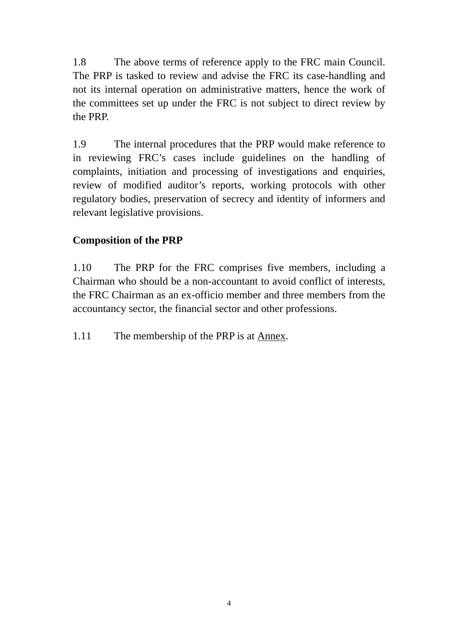1.8 The above terms of reference apply to the FRC main Council. The PRP is tasked to review and advise the FRC its case-handling and not its internal operation on administrative matters, hence the work of the committees set up under the FRC is not subject to direct review by the PRP.

1.9 The internal procedures that the PRP would make reference to in reviewing FRC's cases include guidelines on the handling of complaints, initiation and processing of investigations and enquiries, review of modified auditor's reports, working protocols with other regulatory bodies, preservation of secrecy and identity of informers and relevant legislative provisions.

## **Composition of the PRP**

1.10 The PRP for the FRC comprises five members, including a Chairman who should be a non-accountant to avoid conflict of interests, the FRC Chairman as an ex-officio member and three members from the accountancy sector, the financial sector and other professions.

1.11 The membership of the PRP is at Annex.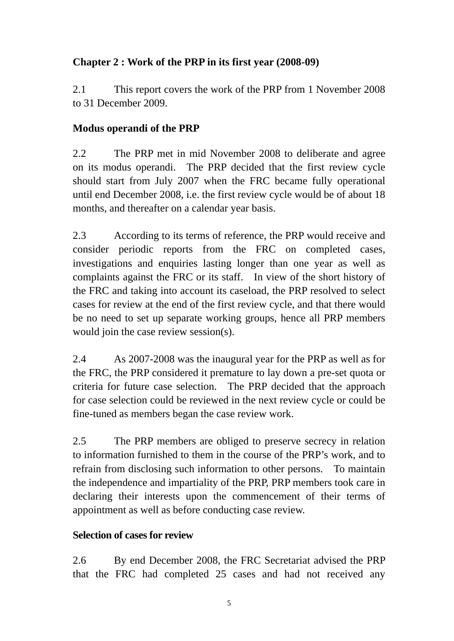# **Chapter 2 : Work of the PRP in its first year (2008-09)**

2.1 This report covers the work of the PRP from 1 November 2008 to 31 December 2009.

# **Modus operandi of the PRP**

2.2 The PRP met in mid November 2008 to deliberate and agree on its modus operandi. The PRP decided that the first review cycle should start from July 2007 when the FRC became fully operational until end December 2008, i.e. the first review cycle would be of about 18 months, and thereafter on a calendar year basis.

2.3 According to its terms of reference, the PRP would receive and consider periodic reports from the FRC on completed cases, investigations and enquiries lasting longer than one year as well as complaints against the FRC or its staff. In view of the short history of the FRC and taking into account its caseload, the PRP resolved to select cases for review at the end of the first review cycle, and that there would be no need to set up separate working groups, hence all PRP members would join the case review session(s).

2.4 As 2007-2008 was the inaugural year for the PRP as well as for the FRC, the PRP considered it premature to lay down a pre-set quota or criteria for future case selection. The PRP decided that the approach for case selection could be reviewed in the next review cycle or could be fine-tuned as members began the case review work.

2.5 The PRP members are obliged to preserve secrecy in relation to information furnished to them in the course of the PRP's work, and to refrain from disclosing such information to other persons. To maintain the independence and impartiality of the PRP, PRP members took care in declaring their interests upon the commencement of their terms of appointment as well as before conducting case review.

# **Selection of cases for review**

2.6 By end December 2008, the FRC Secretariat advised the PRP that the FRC had completed 25 cases and had not received any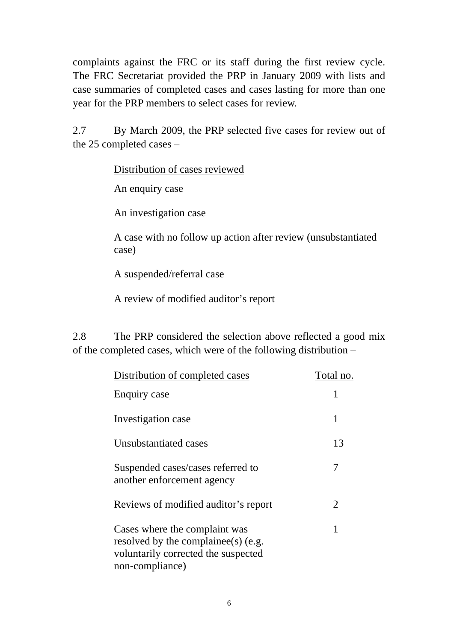complaints against the FRC or its staff during the first review cycle. The FRC Secretariat provided the PRP in January 2009 with lists and case summaries of completed cases and cases lasting for more than one year for the PRP members to select cases for review.

2.7 By March 2009, the PRP selected five cases for review out of the 25 completed cases –

Distribution of cases reviewed

An enquiry case

An investigation case

A case with no follow up action after review (unsubstantiated case)

A suspended/referral case

A review of modified auditor's report

2.8 The PRP considered the selection above reflected a good mix of the completed cases, which were of the following distribution –

| Distribution of completed cases                                                                                             | Total no. |
|-----------------------------------------------------------------------------------------------------------------------------|-----------|
| Enquiry case                                                                                                                |           |
| Investigation case                                                                                                          | 1         |
| Unsubstantiated cases                                                                                                       | 13        |
| Suspended cases/cases referred to<br>another enforcement agency                                                             | 7         |
| Reviews of modified auditor's report                                                                                        | 2         |
| Cases where the complaint was<br>resolved by the complaines (e.g.<br>voluntarily corrected the suspected<br>non-compliance) |           |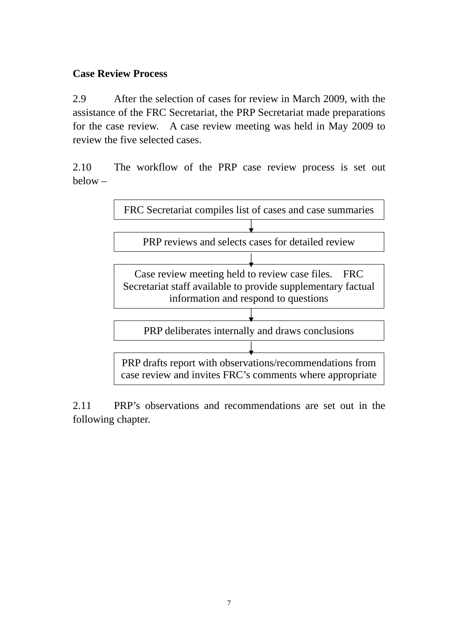## **Case Review Process**

2.9 After the selection of cases for review in March 2009, with the assistance of the FRC Secretariat, the PRP Secretariat made preparations for the case review. A case review meeting was held in May 2009 to review the five selected cases.

2.10 The workflow of the PRP case review process is set out below –



2.11 PRP's observations and recommendations are set out in the following chapter.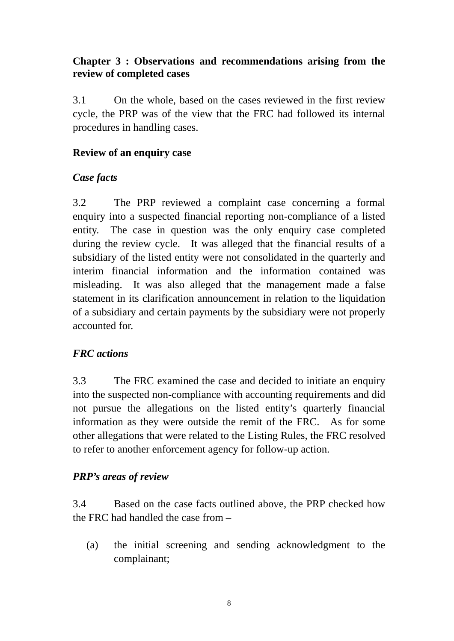## **Chapter 3 : Observations and recommendations arising from the review of completed cases**

3.1 On the whole, based on the cases reviewed in the first review cycle, the PRP was of the view that the FRC had followed its internal procedures in handling cases.

### **Review of an enquiry case**

#### *Case facts*

3.2 The PRP reviewed a complaint case concerning a formal enquiry into a suspected financial reporting non-compliance of a listed entity. The case in question was the only enquiry case completed during the review cycle. It was alleged that the financial results of a subsidiary of the listed entity were not consolidated in the quarterly and interim financial information and the information contained was misleading. It was also alleged that the management made a false statement in its clarification announcement in relation to the liquidation of a subsidiary and certain payments by the subsidiary were not properly accounted for.

## *FRC actions*

3.3 The FRC examined the case and decided to initiate an enquiry into the suspected non-compliance with accounting requirements and did not pursue the allegations on the listed entity's quarterly financial information as they were outside the remit of the FRC. As for some other allegations that were related to the Listing Rules, the FRC resolved to refer to another enforcement agency for follow-up action.

## *PRP's areas of review*

3.4 Based on the case facts outlined above, the PRP checked how the FRC had handled the case from –

(a) the initial screening and sending acknowledgment to the complainant;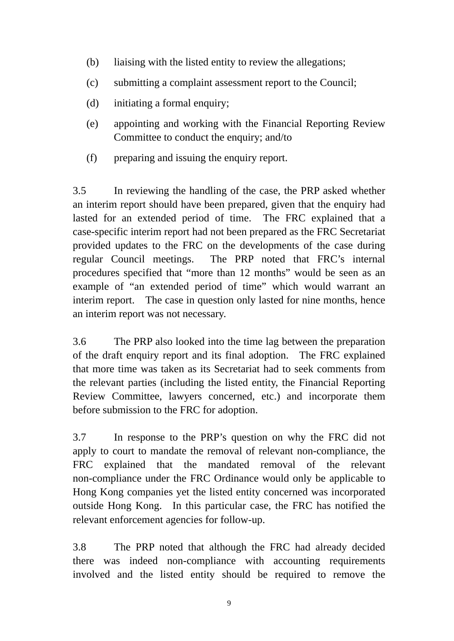- (b) liaising with the listed entity to review the allegations;
- (c) submitting a complaint assessment report to the Council;
- (d) initiating a formal enquiry;
- (e) appointing and working with the Financial Reporting Review Committee to conduct the enquiry; and/to
- (f) preparing and issuing the enquiry report.

3.5 In reviewing the handling of the case, the PRP asked whether an interim report should have been prepared, given that the enquiry had lasted for an extended period of time. The FRC explained that a case-specific interim report had not been prepared as the FRC Secretariat provided updates to the FRC on the developments of the case during regular Council meetings. The PRP noted that FRC's internal procedures specified that "more than 12 months" would be seen as an example of "an extended period of time" which would warrant an interim report. The case in question only lasted for nine months, hence an interim report was not necessary.

3.6 The PRP also looked into the time lag between the preparation of the draft enquiry report and its final adoption. The FRC explained that more time was taken as its Secretariat had to seek comments from the relevant parties (including the listed entity, the Financial Reporting Review Committee, lawyers concerned, etc.) and incorporate them before submission to the FRC for adoption.

3.7 In response to the PRP's question on why the FRC did not apply to court to mandate the removal of relevant non-compliance, the FRC explained that the mandated removal of the relevant non-compliance under the FRC Ordinance would only be applicable to Hong Kong companies yet the listed entity concerned was incorporated outside Hong Kong. In this particular case, the FRC has notified the relevant enforcement agencies for follow-up.

3.8 The PRP noted that although the FRC had already decided there was indeed non-compliance with accounting requirements involved and the listed entity should be required to remove the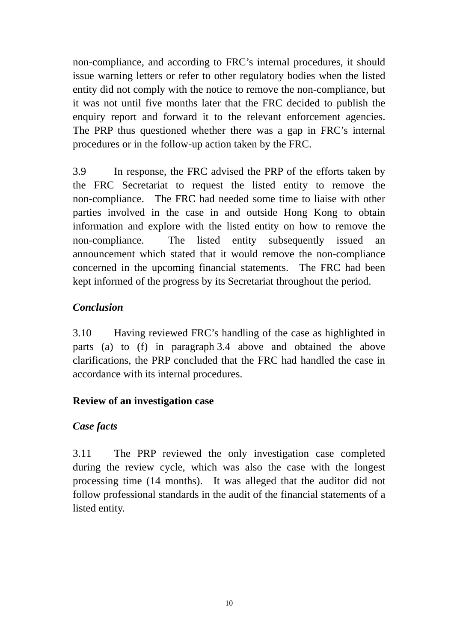non-compliance, and according to FRC's internal procedures, it should issue warning letters or refer to other regulatory bodies when the listed entity did not comply with the notice to remove the non-compliance, but it was not until five months later that the FRC decided to publish the enquiry report and forward it to the relevant enforcement agencies. The PRP thus questioned whether there was a gap in FRC's internal procedures or in the follow-up action taken by the FRC.

3.9 In response, the FRC advised the PRP of the efforts taken by the FRC Secretariat to request the listed entity to remove the non-compliance. The FRC had needed some time to liaise with other parties involved in the case in and outside Hong Kong to obtain information and explore with the listed entity on how to remove the non-compliance. The listed entity subsequently issued an announcement which stated that it would remove the non-compliance concerned in the upcoming financial statements. The FRC had been kept informed of the progress by its Secretariat throughout the period.

## *Conclusion*

3.10 Having reviewed FRC's handling of the case as highlighted in parts (a) to (f) in paragraph 3.4 above and obtained the above clarifications, the PRP concluded that the FRC had handled the case in accordance with its internal procedures.

## **Review of an investigation case**

## *Case facts*

3.11 The PRP reviewed the only investigation case completed during the review cycle, which was also the case with the longest processing time (14 months). It was alleged that the auditor did not follow professional standards in the audit of the financial statements of a listed entity.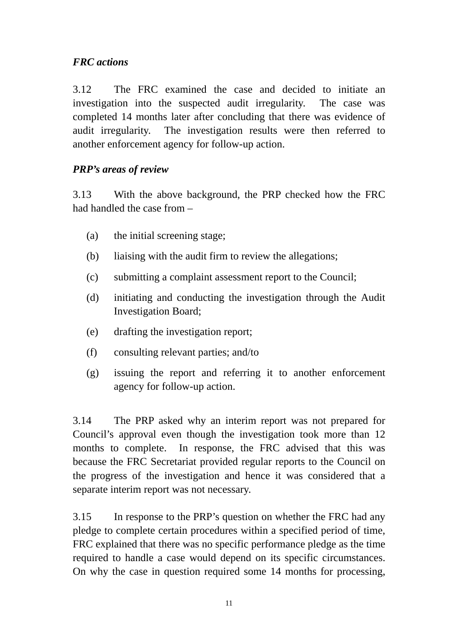## *FRC actions*

3.12 The FRC examined the case and decided to initiate an investigation into the suspected audit irregularity. The case was completed 14 months later after concluding that there was evidence of audit irregularity. The investigation results were then referred to another enforcement agency for follow-up action.

## *PRP's areas of review*

3.13 With the above background, the PRP checked how the FRC had handled the case from –

- (a) the initial screening stage;
- (b) liaising with the audit firm to review the allegations;
- (c) submitting a complaint assessment report to the Council;
- (d) initiating and conducting the investigation through the Audit Investigation Board;
- (e) drafting the investigation report;
- (f) consulting relevant parties; and/to
- (g) issuing the report and referring it to another enforcement agency for follow-up action.

3.14 The PRP asked why an interim report was not prepared for Council's approval even though the investigation took more than 12 months to complete. In response, the FRC advised that this was because the FRC Secretariat provided regular reports to the Council on the progress of the investigation and hence it was considered that a separate interim report was not necessary.

3.15 In response to the PRP's question on whether the FRC had any pledge to complete certain procedures within a specified period of time, FRC explained that there was no specific performance pledge as the time required to handle a case would depend on its specific circumstances. On why the case in question required some 14 months for processing,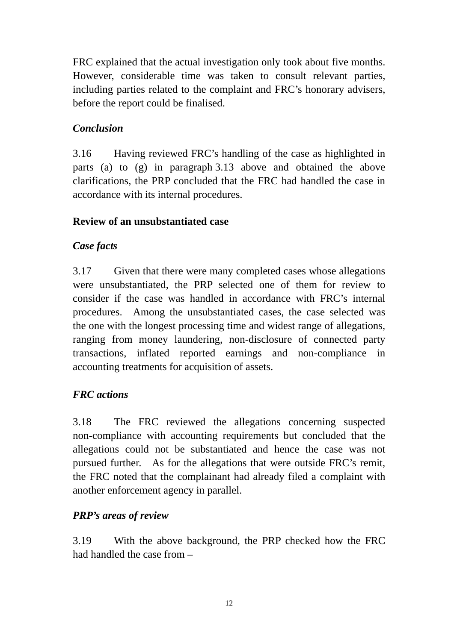FRC explained that the actual investigation only took about five months. However, considerable time was taken to consult relevant parties, including parties related to the complaint and FRC's honorary advisers, before the report could be finalised.

## *Conclusion*

3.16 Having reviewed FRC's handling of the case as highlighted in parts (a) to (g) in paragraph 3.13 above and obtained the above clarifications, the PRP concluded that the FRC had handled the case in accordance with its internal procedures.

## **Review of an unsubstantiated case**

#### *Case facts*

3.17 Given that there were many completed cases whose allegations were unsubstantiated, the PRP selected one of them for review to consider if the case was handled in accordance with FRC's internal procedures. Among the unsubstantiated cases, the case selected was the one with the longest processing time and widest range of allegations, ranging from money laundering, non-disclosure of connected party transactions, inflated reported earnings and non-compliance in accounting treatments for acquisition of assets.

## *FRC actions*

3.18 The FRC reviewed the allegations concerning suspected non-compliance with accounting requirements but concluded that the allegations could not be substantiated and hence the case was not pursued further. As for the allegations that were outside FRC's remit, the FRC noted that the complainant had already filed a complaint with another enforcement agency in parallel.

## *PRP's areas of review*

3.19 With the above background, the PRP checked how the FRC had handled the case from –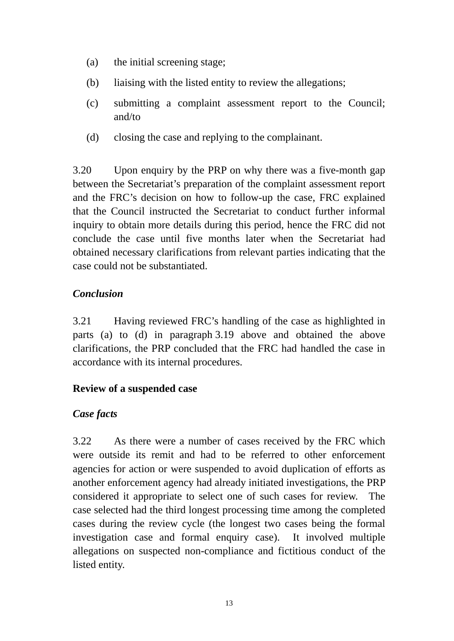- (a) the initial screening stage;
- (b) liaising with the listed entity to review the allegations;
- (c) submitting a complaint assessment report to the Council; and/to
- (d) closing the case and replying to the complainant.

3.20 Upon enquiry by the PRP on why there was a five-month gap between the Secretariat's preparation of the complaint assessment report and the FRC's decision on how to follow-up the case, FRC explained that the Council instructed the Secretariat to conduct further informal inquiry to obtain more details during this period, hence the FRC did not conclude the case until five months later when the Secretariat had obtained necessary clarifications from relevant parties indicating that the case could not be substantiated.

## *Conclusion*

3.21 Having reviewed FRC's handling of the case as highlighted in parts (a) to (d) in paragraph 3.19 above and obtained the above clarifications, the PRP concluded that the FRC had handled the case in accordance with its internal procedures.

## **Review of a suspended case**

#### *Case facts*

3.22 As there were a number of cases received by the FRC which were outside its remit and had to be referred to other enforcement agencies for action or were suspended to avoid duplication of efforts as another enforcement agency had already initiated investigations, the PRP considered it appropriate to select one of such cases for review. The case selected had the third longest processing time among the completed cases during the review cycle (the longest two cases being the formal investigation case and formal enquiry case). It involved multiple allegations on suspected non-compliance and fictitious conduct of the listed entity.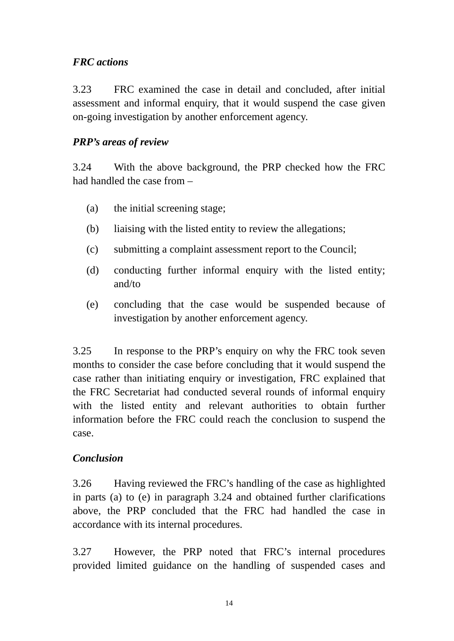## *FRC actions*

3.23 FRC examined the case in detail and concluded, after initial assessment and informal enquiry, that it would suspend the case given on-going investigation by another enforcement agency.

## *PRP's areas of review*

3.24 With the above background, the PRP checked how the FRC had handled the case from –

- (a) the initial screening stage;
- (b) liaising with the listed entity to review the allegations;
- (c) submitting a complaint assessment report to the Council;
- (d) conducting further informal enquiry with the listed entity; and/to
- (e) concluding that the case would be suspended because of investigation by another enforcement agency.

3.25 In response to the PRP's enquiry on why the FRC took seven months to consider the case before concluding that it would suspend the case rather than initiating enquiry or investigation, FRC explained that the FRC Secretariat had conducted several rounds of informal enquiry with the listed entity and relevant authorities to obtain further information before the FRC could reach the conclusion to suspend the case.

## *Conclusion*

3.26 Having reviewed the FRC's handling of the case as highlighted in parts (a) to (e) in paragraph 3.24 and obtained further clarifications above, the PRP concluded that the FRC had handled the case in accordance with its internal procedures.

3.27 However, the PRP noted that FRC's internal procedures provided limited guidance on the handling of suspended cases and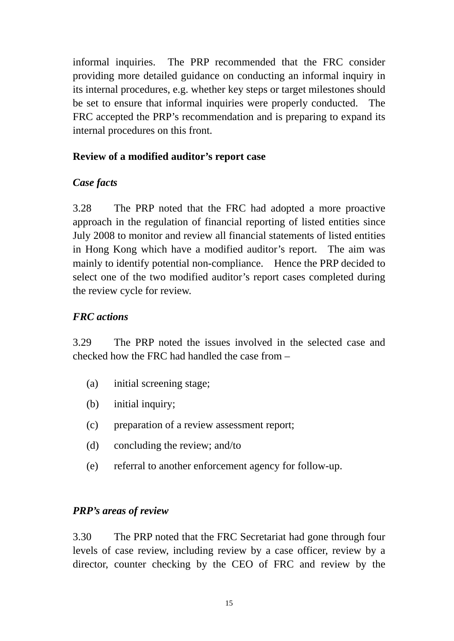informal inquiries. The PRP recommended that the FRC consider providing more detailed guidance on conducting an informal inquiry in its internal procedures, e.g. whether key steps or target milestones should be set to ensure that informal inquiries were properly conducted. The FRC accepted the PRP's recommendation and is preparing to expand its internal procedures on this front.

## **Review of a modified auditor's report case**

# *Case facts*

3.28 The PRP noted that the FRC had adopted a more proactive approach in the regulation of financial reporting of listed entities since July 2008 to monitor and review all financial statements of listed entities in Hong Kong which have a modified auditor's report. The aim was mainly to identify potential non-compliance. Hence the PRP decided to select one of the two modified auditor's report cases completed during the review cycle for review.

# *FRC actions*

3.29 The PRP noted the issues involved in the selected case and checked how the FRC had handled the case from –

- (a) initial screening stage;
- (b) initial inquiry;
- (c) preparation of a review assessment report;
- (d) concluding the review; and/to
- (e) referral to another enforcement agency for follow-up.

## *PRP's areas of review*

3.30 The PRP noted that the FRC Secretariat had gone through four levels of case review, including review by a case officer, review by a director, counter checking by the CEO of FRC and review by the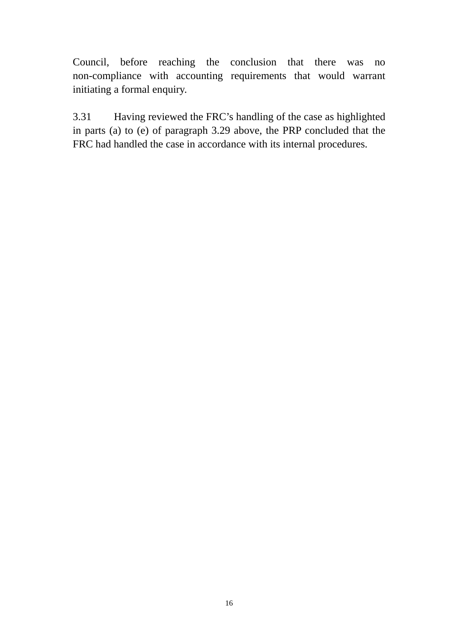Council, before reaching the conclusion that there was no non-compliance with accounting requirements that would warrant initiating a formal enquiry.

3.31 Having reviewed the FRC's handling of the case as highlighted in parts (a) to (e) of paragraph 3.29 above, the PRP concluded that the FRC had handled the case in accordance with its internal procedures.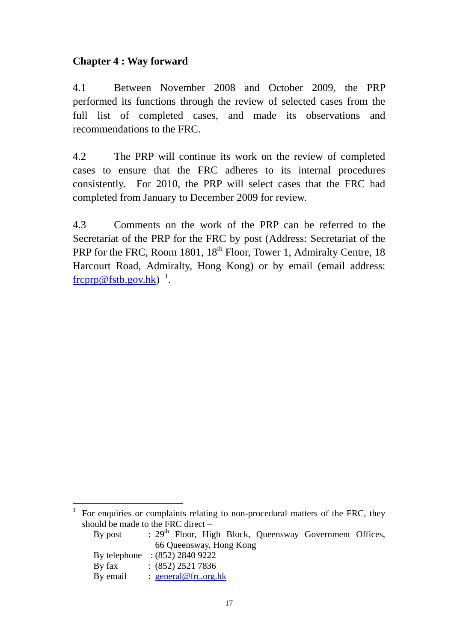## **Chapter 4 : Way forward**

 $\overline{a}$ 

4.1 Between November 2008 and October 2009, the PRP performed its functions through the review of selected cases from the full list of completed cases, and made its observations and recommendations to the FRC.

4.2 The PRP will continue its work on the review of completed cases to ensure that the FRC adheres to its internal procedures consistently. For 2010, the PRP will select cases that the FRC had completed from January to December 2009 for review.

4.3 Comments on the work of the PRP can be referred to the Secretariat of the PRP for the FRC by post (Address: Secretariat of the PRP for the FRC, Room 1801,  $18<sup>th</sup>$  Floor, Tower 1, Admiralty Centre, 18 Harcourt Road, Admiralty, Hong Kong) or by email (email address:  ${\rm frcprp@fstb.gov.hk}$ )<sup>1</sup>.

<sup>1</sup> For enquiries or complaints relating to non-procedural matters of the FRC, they should be made to the FRC direct –

| By post                         |                         |                      |  |  |  | : 29 <sup>th</sup> Floor, High Block, Queensway Government Offices, |  |  |  |  |
|---------------------------------|-------------------------|----------------------|--|--|--|---------------------------------------------------------------------|--|--|--|--|
|                                 | 66 Queensway, Hong Kong |                      |  |  |  |                                                                     |  |  |  |  |
| By telephone $:(852) 2840 9222$ |                         |                      |  |  |  |                                                                     |  |  |  |  |
| By fax                          |                         | $(852)$ 2521 7836    |  |  |  |                                                                     |  |  |  |  |
| By email                        |                         | : general@frc.org.hk |  |  |  |                                                                     |  |  |  |  |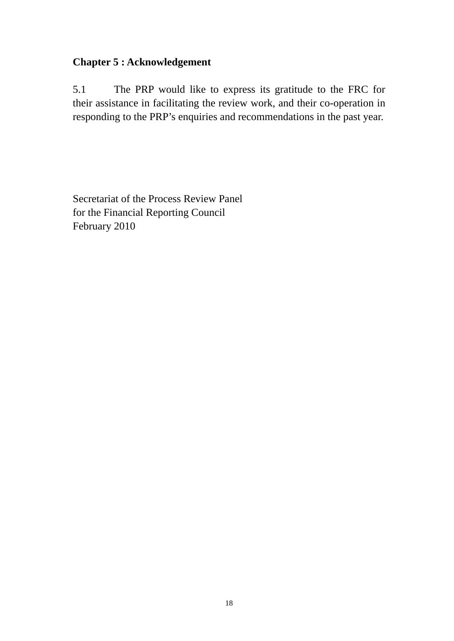#### **Chapter 5 : Acknowledgement**

5.1 The PRP would like to express its gratitude to the FRC for their assistance in facilitating the review work, and their co-operation in responding to the PRP's enquiries and recommendations in the past year.

Secretariat of the Process Review Panel for the Financial Reporting Council February 2010